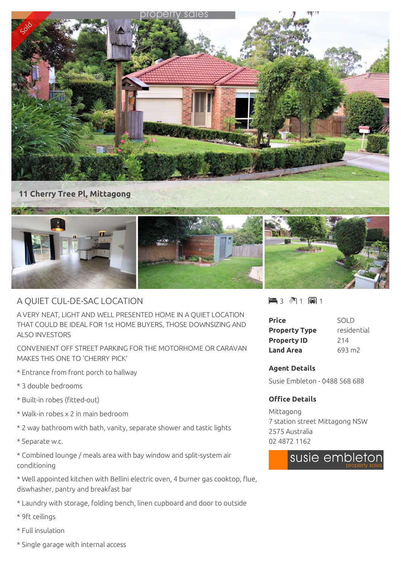

## A QUIET CUL-DE-SAC LOCATION

A VERY NEAT, LIGHT AND WELL PRESENTED HOME IN A QUIET LOCATION THAT COULD BE IDEAL FOR 1st HOME BUYERS, THOSE DOWNSIZING AND ALSO INVESTORS

CONVENIENT OFF STREET PARKING FOR THE MOTORHOME OR CARAVAN MAKES THIS ONE TO 'CHERRY PICK'

- \* Entrance from front porch to hallway
- \* 3 double bedrooms
- \* Built-in robes (fitted-out)
- \* Walk-in robes x 2 in main bedroom
- \* 2 way bathroom with bath, vanity, separate shower and tastic lights
- \* Separate w.c.

\* Combined lounge / meals area with bay window and split-system air conditioning

\* Well appointed kitchen with Bellini electric oven, 4 burner gas cooktop, flue, diswhasher, pantry and breakfast bar

\* Laundry with storage, folding bench, linen cupboard and door to outside

- \* 9ft ceilings
- \* Full insulation
- \* Single garage with internal access

 $-3$   $\sqrt[3]{1}$   $-1$ 

| Price                | SOI D              |
|----------------------|--------------------|
| <b>Property Type</b> | residential        |
| <b>Property ID</b>   | 214                |
| <b>Land Area</b>     | 693 m <sub>2</sub> |

## **Agent Details**

Susie Embleton - 0488 568 688

## **Office Details**

Mittagong 7 station street Mittagong NSW 2575 Australia 02 4872 1162